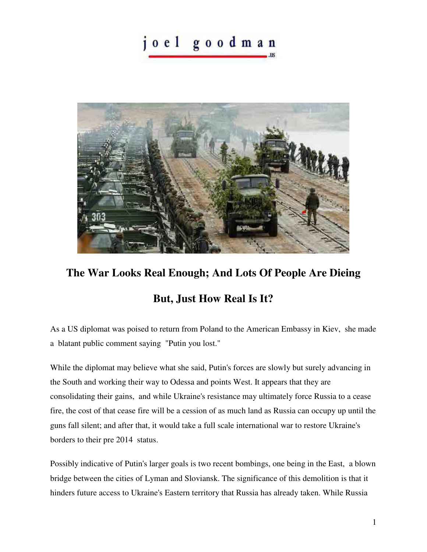joel goodman



## **The War Looks Real Enough; And Lots Of People Are Dieing**

## **But, Just How Real Is It?**

As a US diplomat was poised to return from Poland to the American Embassy in Kiev, she made a blatant public comment saying "Putin you lost."

While the diplomat may believe what she said, Putin's forces are slowly but surely advancing in the South and working their way to Odessa and points West. It appears that they are consolidating their gains, and while Ukraine's resistance may ultimately force Russia to a cease fire, the cost of that cease fire will be a cession of as much land as Russia can occupy up until the guns fall silent; and after that, it would take a full scale international war to restore Ukraine's borders to their pre 2014 status.

Possibly indicative of Putin's larger goals is two recent bombings, one being in the East, a blown bridge between the cities of Lyman and Sloviansk. The significance of this demolition is that it hinders future access to Ukraine's Eastern territory that Russia has already taken. While Russia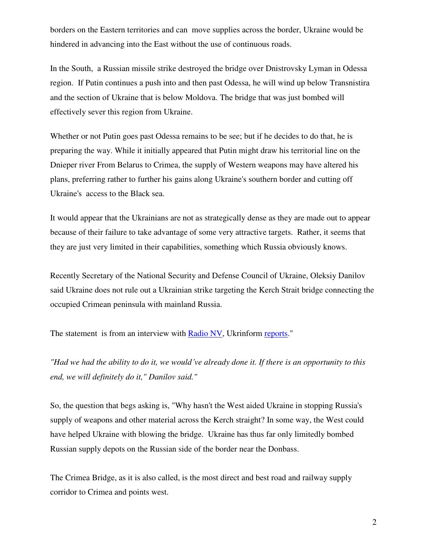borders on the Eastern territories and can move supplies across the border, Ukraine would be hindered in advancing into the East without the use of continuous roads.

In the South, a Russian missile strike destroyed the bridge over Dnistrovsky Lyman in Odessa region. If Putin continues a push into and then past Odessa, he will wind up below Transnistira and the section of Ukraine that is below Moldova. The bridge that was just bombed will effectively sever this region from Ukraine.

Whether or not Putin goes past Odessa remains to be see; but if he decides to do that, he is preparing the way. While it initially appeared that Putin might draw his territorial line on the Dnieper river From Belarus to Crimea, the supply of Western weapons may have altered his plans, preferring rather to further his gains along Ukraine's southern border and cutting off Ukraine's access to the Black sea.

It would appear that the Ukrainians are not as strategically dense as they are made out to appear because of their failure to take advantage of some very attractive targets. Rather, it seems that they are just very limited in their capabilities, something which Russia obviously knows.

Recently Secretary of the National Security and Defense Council of Ukraine, Oleksiy Danilov said Ukraine does not rule out a Ukrainian strike targeting the Kerch Strait bridge connecting the occupied Crimean peninsula with mainland Russia.

The statement is from an interview with [Radio NV,](http://nv.ua/ukr/world/geopolitics/oleksiy-danilov-pro-viynu-v-ukrajini-interv-yu-na-radio-nv-2022-ostanni-novini-50235624.html) Ukrinform [reports.](https://www.ukrinform.net/rubric-ato/3463363-ukraine-may-destroy-kerch-strait-bridge-once-opportunity-arises-nsdc-secretary.html)"

*"Had we had the ability to do it, we would've already done it. If there is an opportunity to this end, we will definitely do it," Danilov said."* 

So, the question that begs asking is, "Why hasn't the West aided Ukraine in stopping Russia's supply of weapons and other material across the Kerch straight? In some way, the West could have helped Ukraine with blowing the bridge. Ukraine has thus far only limitedly bombed Russian supply depots on the Russian side of the border near the Donbass.

The Crimea Bridge, as it is also called, is the most direct and best road and railway supply corridor to Crimea and points west.